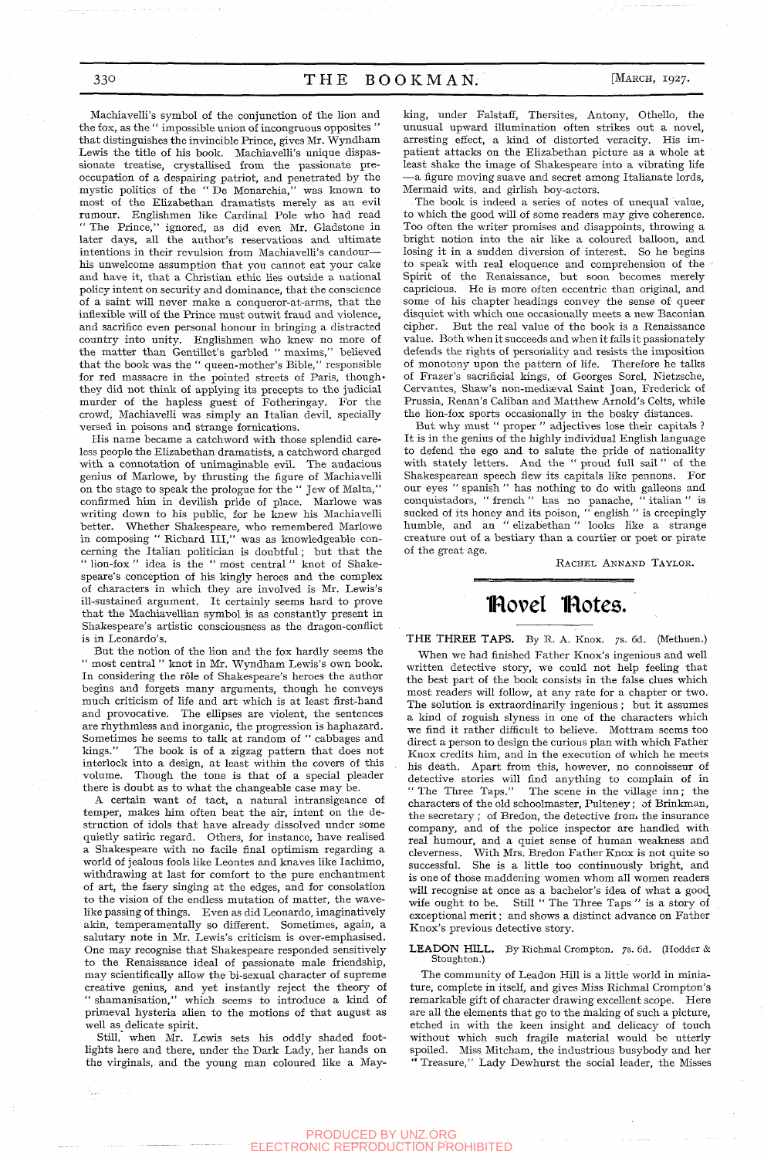330 THE BOOKMAN.

[MARCH, 1927.

Machiavelli's symbol of the conjunction of the lion and the fox, as the " impossible union of incongruous opposites " that distinguishes the invincible Prince, gives Mr. Wyndham Lewis the title of his book. Machiavelli's unique dispassionate treatise, crystallised from the passionate preoccupation of a despairing patriot, and penetrated by the mystic politics of the " De Monarchia," was known to most of the Elizabethan dramatists merely as an evil rumour. Englishmen like Cardinal Pole who had read " The Prince," ignored, as did even Mr. Gladstone in later days, all the author's reservations and ultimate intentions in their revulsion from Machiavelli's candour his unwelcome assumption that you cannot eat your cake and have it, that a Christian ethic lies outside a national policy intent on security and dominance, that the conscience of a saint will never make a conqueror-at-arms, that the inflexible will of the Prince must outwit fraud and violence, and sacrifice even personal honour in bringing a distracted country into unity. Englishmen who knew no more of the matter than Gentillet's garbled " maxims," believed that the book was the " queen-mother's Bible," responsible for red massacre in the pointed streets of Paris, thoughthey did not think of applying its precepts to the judicial murder of the hapless guest of Fotheringay. For the crowd, Machiavelli was simply an Italian devil, specially versed in poisons and strange fornications.

His name became a catchword with those splendid careless people the Elizabethan dramatists, a catchword charged with a connotation of unimaginable evil. The audacious genius of Marlowe, by thrusting the figure of Machiavelli on the stage to speak the prologue for the " Jew of Malta," confirmed him in devilish pride of place. Marlowe was writing down to his public, for he knew his Machiavelli better. Whether Shakespeare, who remembered Marlowe in composing " Richard III," was as knowledgeable concerning the Italian politician is doubtful; but that the " lion-fox " idea is the " most central " knot of Shakespeare's conception of his kingly heroes and the complex of characters in which they are involved is Mr. Lewis's ill-sustained argument. It certainly seems hard to prove that the Machiavellian symbol is as constantly present in Shakespeare's artistic consciousness as the dragon-conflict is in Leonardo's.

But the notion of the lion and the fox hardly seems the " most central " knot in Mr. Wyndham Lewis's own book. In considering the rôle of Shakespeare's heroes the author begins and forgets many arguments, though he conveys much criticism of life and art which is at least first-hand and provocative. The ellipses are violent, the sentences are rhythmless and inorganic, the progression is haphazard. Sometimes he seems to talk at random of "cabbages and kings." The book is of a zigzag pattern that does not The book is of a zigzag pattern that does not interlock into a design, at least within the covers of this volume. Though the tone is that of a special pleader there is doubt as to what the changeable case may be.

A certain want of tact, a natural intransigeance of temper, makes him often beat the air, intent on the destruction of idols that have already dissolved under some quietly satiric regard. Others, for instance, have realised a Shakespeare with no facile final optimism regarding a world of jealous fools like Leontes and knaves like lachimo, withdrawing at last for comfort to the pure enchantment of art, the faery singing at the edges, and for consolation to the vision of the endless mutation of matter, the wavelike passing of things. Even as did Leonardo, imaginatively akin, temperamentally so different. Sometimes, again, a salutary note in Mr. Lewis's criticism is over-emphasised. One may recognise that Shakespeare responded sensitively to the Renaissance ideal of passionate male friendship, may scientifically allow the bi-sexual character of supreme creative genius, and yet instantly reject the theory of " shamanisation," which seems to introduce a kind of primeval hysteria alien to the motions of that august as well as delicate spirit.

Still, when Mr. Lewis sets his oddly shaded footlights here and there, under the Dark Lady, her hands on the virginals, and the young man coloured like a Mayking, under Falstaff, Thersites, Antony, Othello, the unusual upward illumination often strikes out a novel, arresting effect, a kind of distorted veracity. His impatient attacks on the Elizabethan picture as a whole at least shake the image of Shakespeare into a vibrating life —a figure moving suave and secret among Italianate lords. Mermaid wits, and girlish boy-actors.

The book is indeed a series of notes of unequal value, to which the good will of some readers may give coherence. Too often the writer promises and disappoints, throwing a bright notion into the air like a coloured balloon, and losing it in a sudden diversion of interest. So he begins to speak with real eloquence and comprehension of the Spirit of the Renaissance, but soon becomes merely capricious. He is more often eccentric than original, and some of his chapter headings convey the sense of' queer disquiet with which one occasionally meets a new Baconian cipher. But the real value of the book is a Renaissance value. Both when it succeeds and when it fails it passionately defends the rights of personality and resists the imposition of monotony upon the pattern of life. Therefore he talks of Frazer's sacrificial kings, of Georges Sorel, Nietzsche, Cervantes, Shaw's non-mediaeval Saint Joan, Frederick of Prussia, Renan's Caliban and Matthew Arnold's Celts, while the lion-fox sports occasionally in the bosky distances.

But why must " proper " adjectives lose their capitals ? It is in the genius of the highly individual English language to defend the ego and to salute the pride of nationality with stately letters. And the " proud full sail " of the Shakespearean speech flew its capitals like pennons. For our eyes " spanish " has nothing to do with galleons and conquistadors, " french " has no panache, " Italian " is sucked of its honey and its poison, "english" is creepingly humble, and an " elizabethan" looks like a strange creature out of a bestiary than a courtier or poet or pirate of the great age.

RACHEL ANNAND TAYLOR.

## flovel flotes.

**THE THREE TAPS.** By R. A. Knox. 7s. 6d. (Methuen.) When we had finished Father Knox's ingenious and well written detective story, we could not help feeling that the best part of the book consists in the false clues which most readers will follow, at any rate for a chapter or two. The solution is extraordinarily ingenious ; but it assumes a kind of roguish slyness in one of the characters which we find it rather difficult to believe. Mottram seems too direct a person to design the curious plan with which Father Knox credits him, and in the execution of which he meets his death. Apart from this, however, no connoisseur of detective stories will find anything to complain of in " The Three Taps." The scene in the village inn; the characters of the old schoolmaster, Pulteney; of Brinkman, the secretary : of Bredon, the detective from the insurance company, and of the police inspector are handled with real humour, and a quiet sense of human weakness and cleverness. With Mrs. Bredon Father Knox is not quite so cleverness. With Mrs. Bredon Father Knox is not quite so successful. She is a little too continuously bright, and is one of those maddening women whom all women readers will recognise at once as a bachelor's idea of what a good wife ought to be. Still " The Three Taps " is a story of exceptional merit; and shows a distinct advance on Father Knox's previous detective story.

**LEADON HILL.** By Richmal Crompton. 7s. 6d. (Hodder & Stoughton.)

The community of Leadon Hill is a little world in miniature, complete in itself, and gives Miss Richmal Crompton's remarkable gift of character drawing excellent scope. Here are all the elements that go to the inaking of such a picture, etched in with the keen insight and delicacy of touch without which such fragile material would be utterly spoiled. Miss, Mitcham, the industrious busybody and her Treasure," Lady Dewhurst the social leader, the Misses